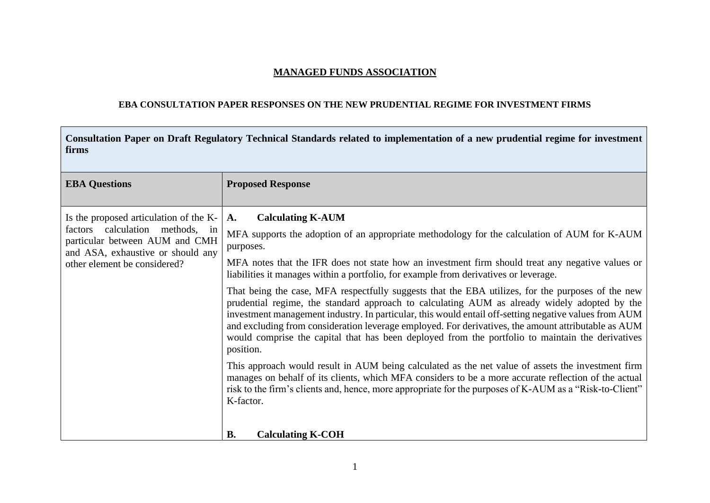## **MANAGED FUNDS ASSOCIATION**

## **EBA CONSULTATION PAPER RESPONSES ON THE NEW PRUDENTIAL REGIME FOR INVESTMENT FIRMS**

 $\Gamma$ 

| Consultation Paper on Draft Regulatory Technical Standards related to implementation of a new prudential regime for investment<br>firms                                          |                                                                                                                                                                                                                                                                                                                                                                                                                                                                                                                                    |  |
|----------------------------------------------------------------------------------------------------------------------------------------------------------------------------------|------------------------------------------------------------------------------------------------------------------------------------------------------------------------------------------------------------------------------------------------------------------------------------------------------------------------------------------------------------------------------------------------------------------------------------------------------------------------------------------------------------------------------------|--|
| <b>EBA Questions</b>                                                                                                                                                             | <b>Proposed Response</b>                                                                                                                                                                                                                                                                                                                                                                                                                                                                                                           |  |
| Is the proposed articulation of the K-<br>factors calculation methods, in<br>particular between AUM and CMH<br>and ASA, exhaustive or should any<br>other element be considered? | <b>Calculating K-AUM</b><br>A.<br>MFA supports the adoption of an appropriate methodology for the calculation of AUM for K-AUM<br>purposes.<br>MFA notes that the IFR does not state how an investment firm should treat any negative values or<br>liabilities it manages within a portfolio, for example from derivatives or leverage.                                                                                                                                                                                            |  |
|                                                                                                                                                                                  | That being the case, MFA respectfully suggests that the EBA utilizes, for the purposes of the new<br>prudential regime, the standard approach to calculating AUM as already widely adopted by the<br>investment management industry. In particular, this would entail off-setting negative values from AUM<br>and excluding from consideration leverage employed. For derivatives, the amount attributable as AUM<br>would comprise the capital that has been deployed from the portfolio to maintain the derivatives<br>position. |  |
|                                                                                                                                                                                  | This approach would result in AUM being calculated as the net value of assets the investment firm<br>manages on behalf of its clients, which MFA considers to be a more accurate reflection of the actual<br>risk to the firm's clients and, hence, more appropriate for the purposes of K-AUM as a "Risk-to-Client"<br>K-factor.                                                                                                                                                                                                  |  |
|                                                                                                                                                                                  | <b>B.</b><br><b>Calculating K-COH</b>                                                                                                                                                                                                                                                                                                                                                                                                                                                                                              |  |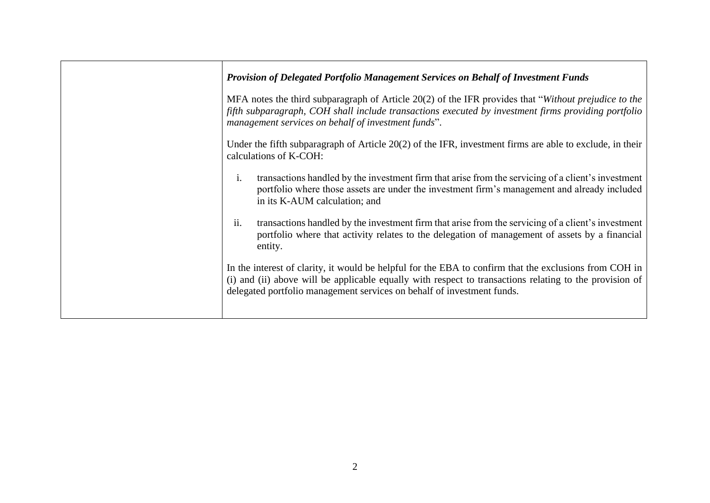| <b>Provision of Delegated Portfolio Management Services on Behalf of Investment Funds</b>                                                                                                                                                                                                   |
|---------------------------------------------------------------------------------------------------------------------------------------------------------------------------------------------------------------------------------------------------------------------------------------------|
| MFA notes the third subparagraph of Article 20(2) of the IFR provides that "Without prejudice to the<br>fifth subparagraph, COH shall include transactions executed by investment firms providing portfolio<br>management services on behalf of investment funds".                          |
| Under the fifth subparagraph of Article $20(2)$ of the IFR, investment firms are able to exclude, in their<br>calculations of K-COH:                                                                                                                                                        |
| i.<br>transactions handled by the investment firm that arise from the servicing of a client's investment<br>portfolio where those assets are under the investment firm's management and already included<br>in its K-AUM calculation; and                                                   |
| ii.<br>transactions handled by the investment firm that arise from the servicing of a client's investment<br>portfolio where that activity relates to the delegation of management of assets by a financial<br>entity.                                                                      |
| In the interest of clarity, it would be helpful for the EBA to confirm that the exclusions from COH in<br>(i) and (ii) above will be applicable equally with respect to transactions relating to the provision of<br>delegated portfolio management services on behalf of investment funds. |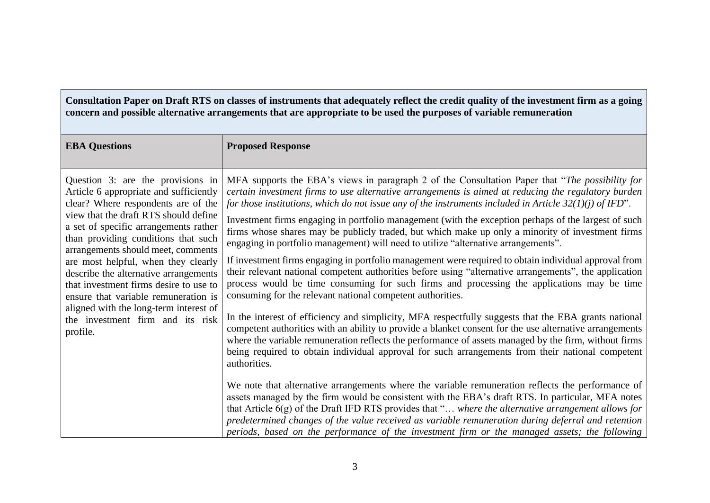**Consultation Paper on Draft RTS on classes of instruments that adequately reflect the credit quality of the investment firm as a going concern and possible alternative arrangements that are appropriate to be used the purposes of variable remuneration** 

| <b>EBA Questions</b>                                                                                                                                                                                                                                                                                                                                                                                                                                                                                                                          | <b>Proposed Response</b>                                                                                                                                                                                                                                                                                                                                                                                                                                                                                                                                                                                                                                                                                                                                                                                                                                                                                                                                                                                                                                                                                                                                                                                                                                                                                                                                                                                                                                                                                                                                                                                                                                                                                                                                                                                                                                                                                                                                                     |
|-----------------------------------------------------------------------------------------------------------------------------------------------------------------------------------------------------------------------------------------------------------------------------------------------------------------------------------------------------------------------------------------------------------------------------------------------------------------------------------------------------------------------------------------------|------------------------------------------------------------------------------------------------------------------------------------------------------------------------------------------------------------------------------------------------------------------------------------------------------------------------------------------------------------------------------------------------------------------------------------------------------------------------------------------------------------------------------------------------------------------------------------------------------------------------------------------------------------------------------------------------------------------------------------------------------------------------------------------------------------------------------------------------------------------------------------------------------------------------------------------------------------------------------------------------------------------------------------------------------------------------------------------------------------------------------------------------------------------------------------------------------------------------------------------------------------------------------------------------------------------------------------------------------------------------------------------------------------------------------------------------------------------------------------------------------------------------------------------------------------------------------------------------------------------------------------------------------------------------------------------------------------------------------------------------------------------------------------------------------------------------------------------------------------------------------------------------------------------------------------------------------------------------------|
| Question 3: are the provisions in<br>Article 6 appropriate and sufficiently<br>clear? Where respondents are of the<br>view that the draft RTS should define<br>a set of specific arrangements rather<br>than providing conditions that such<br>arrangements should meet, comments<br>are most helpful, when they clearly<br>describe the alternative arrangements<br>that investment firms desire to use to<br>ensure that variable remuneration is<br>aligned with the long-term interest of<br>the investment firm and its risk<br>profile. | MFA supports the EBA's views in paragraph 2 of the Consultation Paper that "The possibility for<br>certain investment firms to use alternative arrangements is aimed at reducing the regulatory burden<br>for those institutions, which do not issue any of the instruments included in Article $32(1)(j)$ of IFD".<br>Investment firms engaging in portfolio management (with the exception perhaps of the largest of such<br>firms whose shares may be publicly traded, but which make up only a minority of investment firms<br>engaging in portfolio management) will need to utilize "alternative arrangements".<br>If investment firms engaging in portfolio management were required to obtain individual approval from<br>their relevant national competent authorities before using "alternative arrangements", the application<br>process would be time consuming for such firms and processing the applications may be time<br>consuming for the relevant national competent authorities.<br>In the interest of efficiency and simplicity, MFA respectfully suggests that the EBA grants national<br>competent authorities with an ability to provide a blanket consent for the use alternative arrangements<br>where the variable remuneration reflects the performance of assets managed by the firm, without firms<br>being required to obtain individual approval for such arrangements from their national competent<br>authorities.<br>We note that alternative arrangements where the variable remuneration reflects the performance of<br>assets managed by the firm would be consistent with the EBA's draft RTS. In particular, MFA notes<br>that Article 6(g) of the Draft IFD RTS provides that " where the alternative arrangement allows for<br>predetermined changes of the value received as variable remuneration during deferral and retention<br>periods, based on the performance of the investment firm or the managed assets; the following |